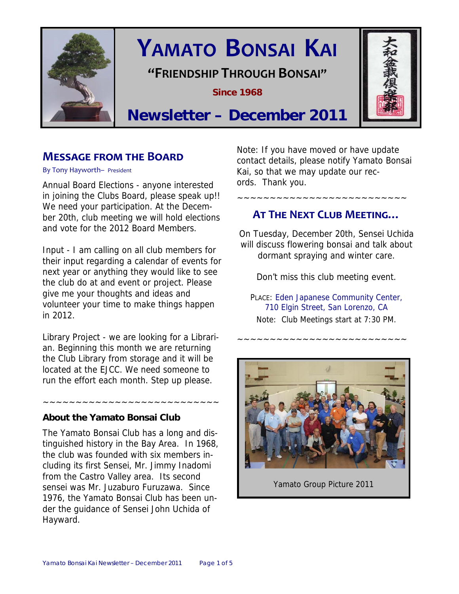

# **YAMATO BONSAI KAI**

**"FRIENDSHIP THROUGH BONSAI"**

**Since 1968** 



## **Newsletter – December 2011**

## **MESSAGE FROM THE BOARD**

By Tony Hayworth– President

Annual Board Elections - anyone interested in joining the Clubs Board, please speak up!! We need your participation. At the December 20th, club meeting we will hold elections and vote for the 2012 Board Members.

Input - I am calling on all club members for their input regarding a calendar of events for next year or anything they would like to see the club do at and event or project. Please give me your thoughts and ideas and volunteer your time to make things happen in 2012.

Library Project - we are looking for a Librarian. Beginning this month we are returning the Club Library from storage and it will be located at the EJCC. We need someone to run the effort each month. Step up please.

~~~~~~~~~~~~~~~~~~~~~~~~~~~

## **About the Yamato Bonsai Club**

The Yamato Bonsai Club has a long and distinguished history in the Bay Area. In 1968, the club was founded with six members including its first Sensei, Mr. Jimmy Inadomi from the Castro Valley area. Its second sensei was Mr. Juzaburo Furuzawa. Since 1976, the Yamato Bonsai Club has been under the guidance of Sensei John Uchida of Hayward.

Note: If you have moved or have update contact details, please notify Yamato Bonsai Kai, so that we may update our records. Thank you.

## **AT THE NEXT CLUB MEETING…**

~~~~~~~~~~~~~~~~~~~~~~~~~~

On Tuesday, December 20th, Sensei Uchida will discuss flowering bonsai and talk about dormant spraying and winter care.

Don't miss this club meeting event.

PLACE: Eden Japanese Community Center, 710 Elgin Street, San Lorenzo, CA Note: Club Meetings start at 7:30 PM.

~~~~~~~~~~~~~~~~~~~~~~~~~~



Yamato Group Picture 2011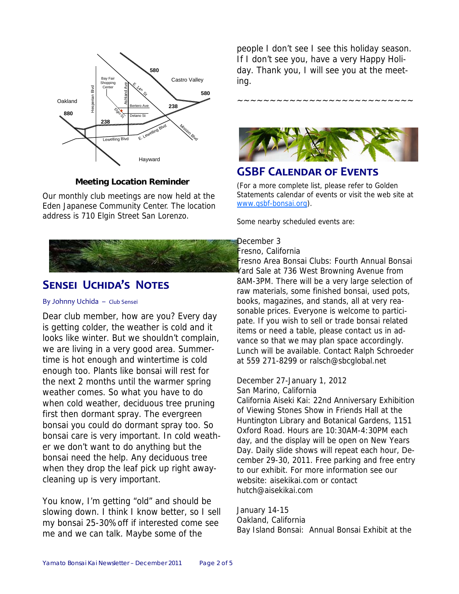

#### **Meeting Location Reminder**

Our monthly club meetings are now held at the Eden Japanese Community Center. The location address is 710 Elgin Street San Lorenzo.



## **SENSEI UCHIDA'S NOTES**

#### By Johnny Uchida – Club Sensei

Dear club member, how are you? Every day is getting colder, the weather is cold and it looks like winter. But we shouldn't complain, we are living in a very good area. Summertime is hot enough and wintertime is cold enough too. Plants like bonsai will rest for the next 2 months until the warmer spring weather comes. So what you have to do when cold weather, deciduous tree pruning first then dormant spray. The evergreen bonsai you could do dormant spray too. So bonsai care is very important. In cold weather we don't want to do anything but the bonsai need the help. Any deciduous tree when they drop the leaf pick up right awaycleaning up is very important.

You know, I'm getting "old" and should be slowing down. I think I know better, so I sell my bonsai 25-30%off if interested come see me and we can talk. Maybe some of the

people I don't see I see this holiday season. If I don't see you, have a very Happy Holiday. Thank you, I will see you at the meeting.





## **GSBF CALENDAR OF EVENTS**

(For a more complete list, please refer to Golden Statements calendar of events or visit the web site at www.gsbf-bonsai.org).

Some nearby scheduled events are:

#### December 3

#### Fresno, California

Fresno Area Bonsai Clubs: Fourth Annual Bonsai Yard Sale at 736 West Browning Avenue from 8AM-3PM. There will be a very large selection of raw materials, some finished bonsai, used pots, books, magazines, and stands, all at very reasonable prices. Everyone is welcome to participate. If you wish to sell or trade bonsai related items or need a table, please contact us in advance so that we may plan space accordingly. Lunch will be available. Contact Ralph Schroeder at 559 271-8299 or ralsch@sbcglobal.net

### December 27-January 1, 2012

San Marino, California California Aiseki Kai: 22nd Anniversary Exhibition of Viewing Stones Show in Friends Hall at the Huntington Library and Botanical Gardens, 1151 Oxford Road. Hours are 10:30AM-4:30PM each day, and the display will be open on New Years Day. Daily slide shows will repeat each hour, December 29-30, 2011. Free parking and free entry to our exhibit. For more information see our website: aisekikai.com or contact hutch@aisekikai.com

#### January 14-15 Oakland, California Bay Island Bonsai: Annual Bonsai Exhibit at the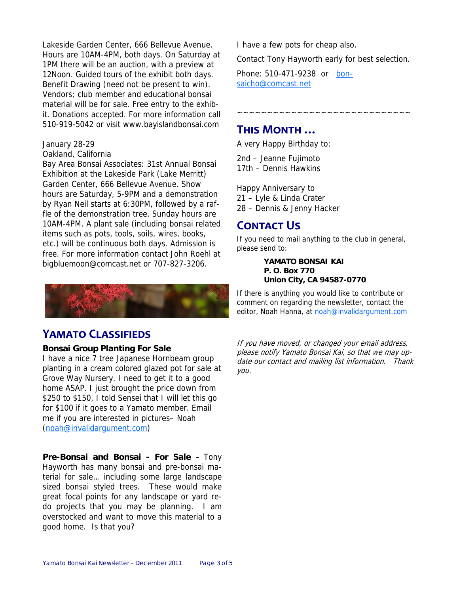Lakeside Garden Center, 666 Bellevue Avenue. Hours are 10AM-4PM, both days. On Saturday at 1PM there will be an auction, with a preview at 12Noon. Guided tours of the exhibit both days. Benefit Drawing (need not be present to win). Vendors; club member and educational bonsai material will be for sale. Free entry to the exhibit. Donations accepted. For more information call 510-919-5042 or visit www.bayislandbonsai.com

#### January 28-29

Oakland, California

Bay Area Bonsai Associates: 31st Annual Bonsai Exhibition at the Lakeside Park (Lake Merritt) Garden Center, 666 Bellevue Avenue. Show hours are Saturday, 5-9PM and a demonstration by Ryan Neil starts at 6:30PM, followed by a raffle of the demonstration tree. Sunday hours are 10AM-4PM. A plant sale (including bonsai related items such as pots, tools, soils, wires, books, etc.) will be continuous both days. Admission is free. For more information contact John Roehl at bigbluemoon@comcast.net or 707-827-3206.



## **YAMATO CLASSIFIEDS**

#### **Bonsai Group Planting For Sale**

I have a nice 7 tree Japanese Hornbeam group planting in a cream colored glazed pot for sale at Grove Way Nursery. I need to get it to a good home ASAP. I just brought the price down from \$250 to \$150, I told Sensei that I will let this go for \$100 if it goes to a Yamato member. Email me if you are interested in pictures– Noah (noah@invalidargument.com)

**Pre-Bonsai and Bonsai - For Sale** – Tony Hayworth has many bonsai and pre-bonsai material for sale… including some large landscape sized bonsai styled trees. These would make great focal points for any landscape or yard redo projects that you may be planning. I am overstocked and want to move this material to a good home. Is that you?

I have a few pots for cheap also.

Contact Tony Hayworth early for best selection.

Phone: 510-471-9238 or bonsaicho@comcast.net

~~~~~~~~~~~~~~~~~~~~~

## **THIS MONTH …**

A very Happy Birthday to:

2nd – Jeanne Fujimoto 17th – Dennis Hawkins

Happy Anniversary to 21 – Lyle & Linda Crater 28 – Dennis & Jenny Hacker

## **CONTACT US**

If you need to mail anything to the club in general, please send to:

> **YAMATO BONSAI KAI P. O. Box 770 Union City, CA 94587-0770**

If there is anything you would like to contribute or comment on regarding the newsletter, contact the editor, Noah Hanna, at noah@invalidargument.com

If you have moved, or changed your email address, please notify Yamato Bonsai Kai, so that we may update our contact and mailing list information. Thank you.